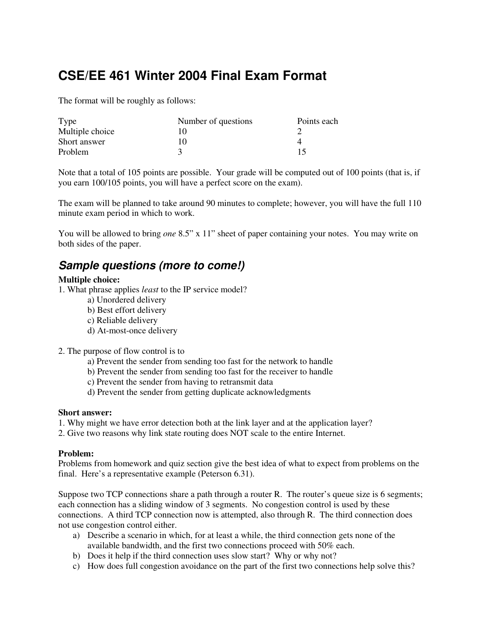# **CSE/EE 461 Winter 2004 Final Exam Format**

The format will be roughly as follows:

| Type            | Number of questions | Points each |
|-----------------|---------------------|-------------|
| Multiple choice |                     |             |
| Short answer    | 10                  |             |
| Problem         |                     | 15          |

Note that a total of 105 points are possible. Your grade will be computed out of 100 points (that is, if you earn 100/105 points, you will have a perfect score on the exam).

The exam will be planned to take around 90 minutes to complete; however, you will have the full 110 minute exam period in which to work.

You will be allowed to bring *one* 8.5" x 11" sheet of paper containing your notes. You may write on both sides of the paper.

# *Sample questions (more to come!)*

## **Multiple choice:**

- 1. What phrase applies *least* to the IP service model?
	- a) Unordered delivery
	- b) Best effort delivery
	- c) Reliable delivery
	- d) At-most-once delivery
- 2. The purpose of flow control is to
	- a) Prevent the sender from sending too fast for the network to handle
	- b) Prevent the sender from sending too fast for the receiver to handle
	- c) Prevent the sender from having to retransmit data
	- d) Prevent the sender from getting duplicate acknowledgments

#### **Short answer:**

1. Why might we have error detection both at the link layer and at the application layer?

2. Give two reasons why link state routing does NOT scale to the entire Internet.

## **Problem:**

Problems from homework and quiz section give the best idea of what to expect from problems on the final. Here's a representative example (Peterson 6.31).

Suppose two TCP connections share a path through a router R. The router's queue size is 6 segments; each connection has a sliding window of 3 segments. No congestion control is used by these connections. A third TCP connection now is attempted, also through R. The third connection does not use congestion control either.

- a) Describe a scenario in which, for at least a while, the third connection gets none of the available bandwidth, and the first two connections proceed with 50% each.
- b) Does it help if the third connection uses slow start? Why or why not?
- c) How does full congestion avoidance on the part of the first two connections help solve this?